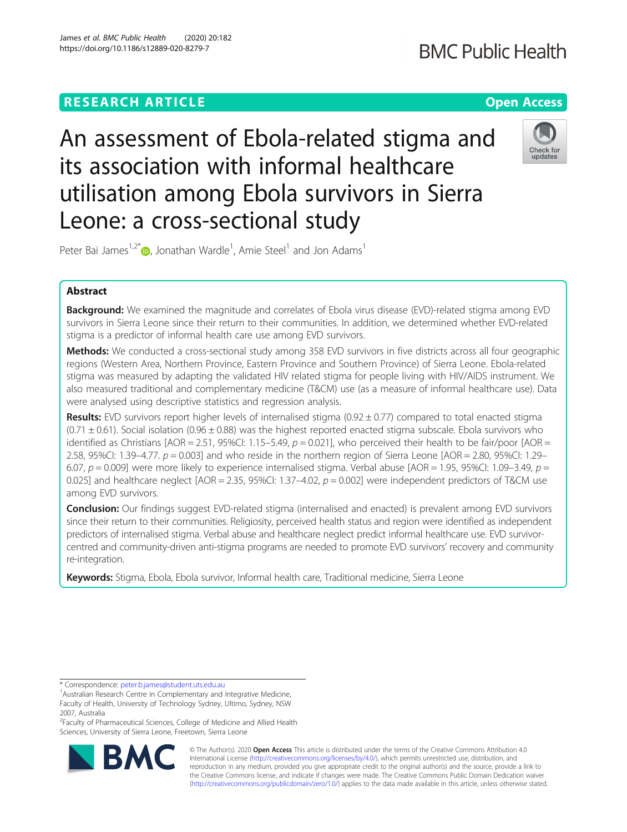# **RESEARCH ARTICLE Example 2014 12:30 The Contract of Contract ACCESS**

An assessment of Ebola-related stigma and its association with informal healthcare utilisation among Ebola survivors in Sierra Leone: a cross-sectional study



Peter Bai James<sup>1[,](http://orcid.org/0000-0002-6373-5704)2\*</sup>®, Jonathan Wardle<sup>1</sup>, Amie Steel<sup>1</sup> and Jon Adams<sup>1</sup>

## Abstract

**Background:** We examined the magnitude and correlates of Ebola virus disease (EVD)-related stigma among EVD survivors in Sierra Leone since their return to their communities. In addition, we determined whether EVD-related stigma is a predictor of informal health care use among EVD survivors.

Methods: We conducted a cross-sectional study among 358 EVD survivors in five districts across all four geographic regions (Western Area, Northern Province, Eastern Province and Southern Province) of Sierra Leone. Ebola-related stigma was measured by adapting the validated HIV related stigma for people living with HIV/AIDS instrument. We also measured traditional and complementary medicine (T&CM) use (as a measure of informal healthcare use). Data were analysed using descriptive statistics and regression analysis.

Results: EVD survivors report higher levels of internalised stigma  $(0.92 \pm 0.77)$  compared to total enacted stigma  $(0.71 \pm 0.61)$ . Social isolation  $(0.96 \pm 0.88)$  was the highest reported enacted stigma subscale. Ebola survivors who identified as Christians  $[AOR = 2.51, 95\%$ CI: 1.15–5.49,  $p = 0.021$ ], who perceived their health to be fair/poor  $[AOR =$ 2.58, 95%CI: 1.39–4.77.  $p = 0.003$ ] and who reside in the northern region of Sierra Leone [AOR = 2.80, 95%CI: 1.29– 6.07,  $p = 0.009$ ] were more likely to experience internalised stigma. Verbal abuse [AOR = 1.95, 95%CI: 1.09–3.49,  $p =$ 0.025] and healthcare neglect  $[AOR = 2.35, 95\%$ Cl: 1.37-4.02,  $p = 0.002$ ] were independent predictors of T&CM use among EVD survivors.

Conclusion: Our findings suggest EVD-related stigma (internalised and enacted) is prevalent among EVD survivors since their return to their communities. Religiosity, perceived health status and region were identified as independent predictors of internalised stigma. Verbal abuse and healthcare neglect predict informal healthcare use. EVD survivorcentred and community-driven anti-stigma programs are needed to promote EVD survivors' recovery and community re-integration.

Keywords: Stigma, Ebola, Ebola survivor, Informal health care, Traditional medicine, Sierra Leone

<sup>2</sup> Faculty of Pharmaceutical Sciences, College of Medicine and Allied Health Sciences, University of Sierra Leone, Freetown, Sierra Leone



© The Author(s). 2020 **Open Access** This article is distributed under the terms of the Creative Commons Attribution 4.0 International License [\(http://creativecommons.org/licenses/by/4.0/](http://creativecommons.org/licenses/by/4.0/)), which permits unrestricted use, distribution, and reproduction in any medium, provided you give appropriate credit to the original author(s) and the source, provide a link to the Creative Commons license, and indicate if changes were made. The Creative Commons Public Domain Dedication waiver [\(http://creativecommons.org/publicdomain/zero/1.0/](http://creativecommons.org/publicdomain/zero/1.0/)) applies to the data made available in this article, unless otherwise stated.

<sup>\*</sup> Correspondence: [peter.b.james@student.uts.edu.au](mailto:peter.b.james@student.uts.edu.au) <sup>1</sup>

<sup>&</sup>lt;sup>1</sup> Australian Research Centre in Complementary and Integrative Medicine, Faculty of Health, University of Technology Sydney, Ultimo, Sydney, NSW 2007, Australia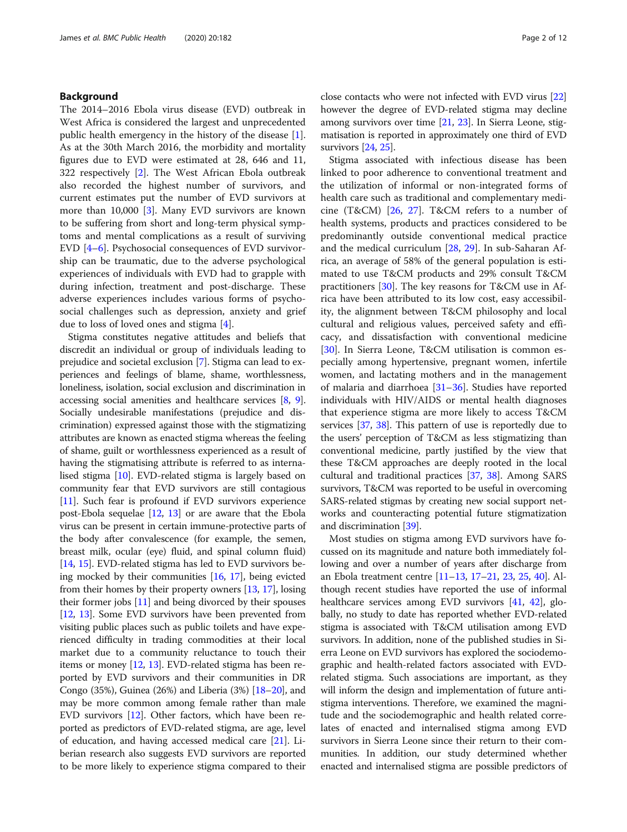## Background

The 2014–2016 Ebola virus disease (EVD) outbreak in West Africa is considered the largest and unprecedented public health emergency in the history of the disease [\[1](#page-10-0)]. As at the 30th March 2016, the morbidity and mortality figures due to EVD were estimated at 28, 646 and 11, 322 respectively [\[2](#page-10-0)]. The West African Ebola outbreak also recorded the highest number of survivors, and current estimates put the number of EVD survivors at more than 10,000 [\[3\]](#page-10-0). Many EVD survivors are known to be suffering from short and long-term physical symptoms and mental complications as a result of surviving EVD [\[4](#page-10-0)–[6](#page-10-0)]. Psychosocial consequences of EVD survivorship can be traumatic, due to the adverse psychological experiences of individuals with EVD had to grapple with during infection, treatment and post-discharge. These adverse experiences includes various forms of psychosocial challenges such as depression, anxiety and grief due to loss of loved ones and stigma [\[4](#page-10-0)].

Stigma constitutes negative attitudes and beliefs that discredit an individual or group of individuals leading to prejudice and societal exclusion [\[7\]](#page-10-0). Stigma can lead to experiences and feelings of blame, shame, worthlessness, loneliness, isolation, social exclusion and discrimination in accessing social amenities and healthcare services [\[8](#page-10-0), [9](#page-10-0)]. Socially undesirable manifestations (prejudice and discrimination) expressed against those with the stigmatizing attributes are known as enacted stigma whereas the feeling of shame, guilt or worthlessness experienced as a result of having the stigmatising attribute is referred to as internalised stigma [[10](#page-10-0)]. EVD-related stigma is largely based on community fear that EVD survivors are still contagious [[11](#page-10-0)]. Such fear is profound if EVD survivors experience post-Ebola sequelae [\[12,](#page-10-0) [13](#page-10-0)] or are aware that the Ebola virus can be present in certain immune-protective parts of the body after convalescence (for example, the semen, breast milk, ocular (eye) fluid, and spinal column fluid) [[14](#page-10-0), [15](#page-10-0)]. EVD-related stigma has led to EVD survivors being mocked by their communities [[16,](#page-10-0) [17](#page-10-0)], being evicted from their homes by their property owners [[13](#page-10-0), [17\]](#page-10-0), losing their former jobs [[11](#page-10-0)] and being divorced by their spouses [[12](#page-10-0), [13\]](#page-10-0). Some EVD survivors have been prevented from visiting public places such as public toilets and have experienced difficulty in trading commodities at their local market due to a community reluctance to touch their items or money [\[12,](#page-10-0) [13\]](#page-10-0). EVD-related stigma has been reported by EVD survivors and their communities in DR Congo (35%), Guinea (26%) and Liberia (3%) [[18](#page-10-0)–[20\]](#page-10-0), and may be more common among female rather than male EVD survivors [[12\]](#page-10-0). Other factors, which have been reported as predictors of EVD-related stigma, are age, level of education, and having accessed medical care [\[21\]](#page-10-0). Liberian research also suggests EVD survivors are reported to be more likely to experience stigma compared to their

close contacts who were not infected with EVD virus [[22](#page-10-0)] however the degree of EVD-related stigma may decline among survivors over time [[21,](#page-10-0) [23\]](#page-10-0). In Sierra Leone, stigmatisation is reported in approximately one third of EVD survivors [[24](#page-10-0), [25\]](#page-10-0).

Stigma associated with infectious disease has been linked to poor adherence to conventional treatment and the utilization of informal or non-integrated forms of health care such as traditional and complementary medicine (T&CM) [[26,](#page-10-0) [27\]](#page-10-0). T&CM refers to a number of health systems, products and practices considered to be predominantly outside conventional medical practice and the medical curriculum [[28,](#page-10-0) [29\]](#page-10-0). In sub-Saharan Africa, an average of 58% of the general population is estimated to use T&CM products and 29% consult T&CM practitioners [\[30](#page-10-0)]. The key reasons for T&CM use in Africa have been attributed to its low cost, easy accessibility, the alignment between T&CM philosophy and local cultural and religious values, perceived safety and efficacy, and dissatisfaction with conventional medicine [[30\]](#page-10-0). In Sierra Leone, T&CM utilisation is common especially among hypertensive, pregnant women, infertile women, and lactating mothers and in the management of malaria and diarrhoea  $[31–36]$  $[31–36]$  $[31–36]$ . Studies have reported individuals with HIV/AIDS or mental health diagnoses that experience stigma are more likely to access T&CM services [\[37,](#page-10-0) [38](#page-10-0)]. This pattern of use is reportedly due to the users' perception of T&CM as less stigmatizing than conventional medicine, partly justified by the view that these T&CM approaches are deeply rooted in the local cultural and traditional practices [[37](#page-10-0), [38](#page-10-0)]. Among SARS survivors, T&CM was reported to be useful in overcoming SARS-related stigmas by creating new social support networks and counteracting potential future stigmatization and discrimination [[39](#page-10-0)].

Most studies on stigma among EVD survivors have focussed on its magnitude and nature both immediately following and over a number of years after discharge from an Ebola treatment centre [[11](#page-10-0)–[13,](#page-10-0) [17](#page-10-0)–[21](#page-10-0), [23](#page-10-0), [25](#page-10-0), [40](#page-10-0)]. Although recent studies have reported the use of informal healthcare services among EVD survivors [[41](#page-10-0), [42\]](#page-10-0), globally, no study to date has reported whether EVD-related stigma is associated with T&CM utilisation among EVD survivors. In addition, none of the published studies in Sierra Leone on EVD survivors has explored the sociodemographic and health-related factors associated with EVDrelated stigma. Such associations are important, as they will inform the design and implementation of future antistigma interventions. Therefore, we examined the magnitude and the sociodemographic and health related correlates of enacted and internalised stigma among EVD survivors in Sierra Leone since their return to their communities. In addition, our study determined whether enacted and internalised stigma are possible predictors of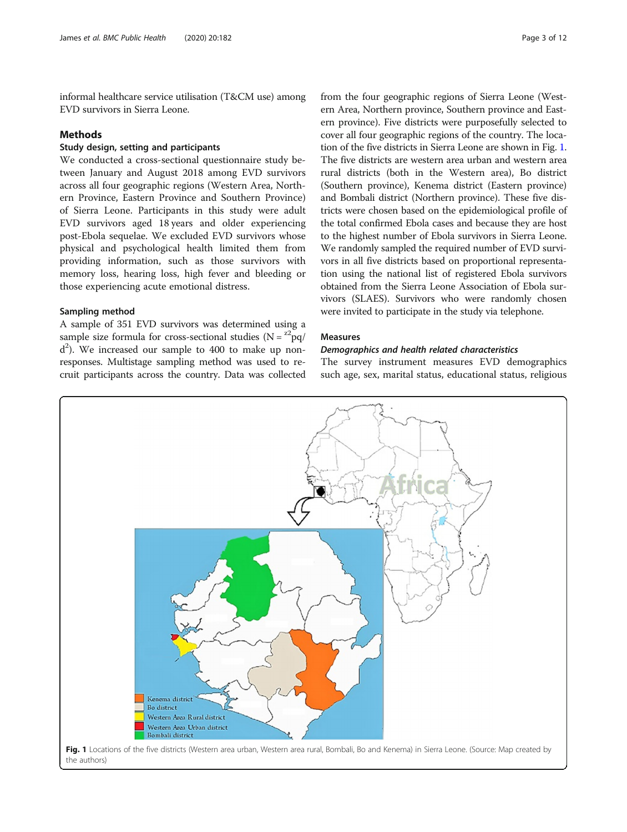informal healthcare service utilisation (T&CM use) among EVD survivors in Sierra Leone.

## **Methods**

## Study design, setting and participants

We conducted a cross-sectional questionnaire study between January and August 2018 among EVD survivors across all four geographic regions (Western Area, Northern Province, Eastern Province and Southern Province) of Sierra Leone. Participants in this study were adult EVD survivors aged 18 years and older experiencing post-Ebola sequelae. We excluded EVD survivors whose physical and psychological health limited them from providing information, such as those survivors with memory loss, hearing loss, high fever and bleeding or those experiencing acute emotional distress.

## Sampling method

A sample of 351 EVD survivors was determined using a sample size formula for cross-sectional studies ( $N = \frac{z^2pq}{r}$  $d^2$ ). We increased our sample to 400 to make up nonresponses. Multistage sampling method was used to recruit participants across the country. Data was collected from the four geographic regions of Sierra Leone (Western Area, Northern province, Southern province and Eastern province). Five districts were purposefully selected to cover all four geographic regions of the country. The location of the five districts in Sierra Leone are shown in Fig. 1. The five districts are western area urban and western area rural districts (both in the Western area), Bo district (Southern province), Kenema district (Eastern province) and Bombali district (Northern province). These five districts were chosen based on the epidemiological profile of the total confirmed Ebola cases and because they are host to the highest number of Ebola survivors in Sierra Leone. We randomly sampled the required number of EVD survivors in all five districts based on proportional representation using the national list of registered Ebola survivors obtained from the Sierra Leone Association of Ebola survivors (SLAES). Survivors who were randomly chosen were invited to participate in the study via telephone.

#### **Measures**

## Demographics and health related characteristics

The survey instrument measures EVD demographics such age, sex, marital status, educational status, religious

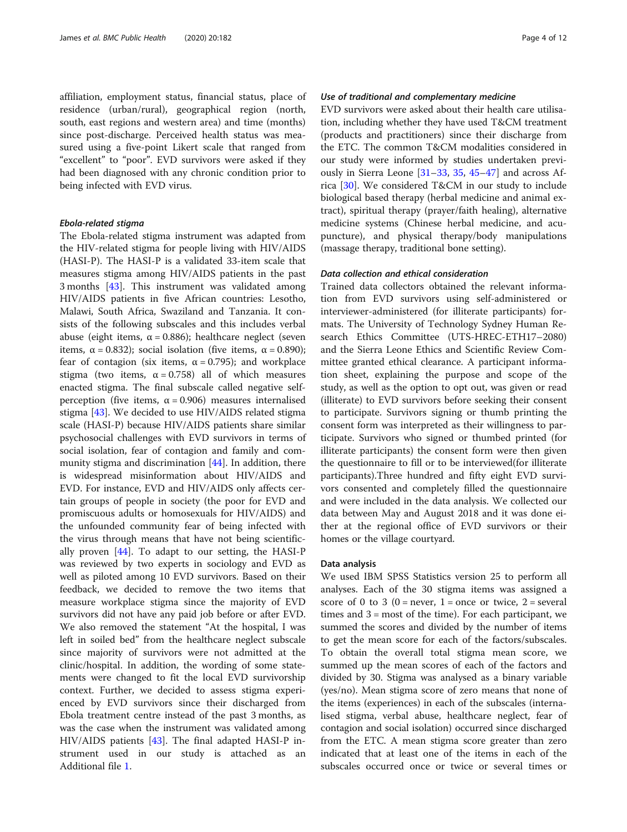affiliation, employment status, financial status, place of residence (urban/rural), geographical region (north, south, east regions and western area) and time (months) since post-discharge. Perceived health status was measured using a five-point Likert scale that ranged from "excellent" to "poor". EVD survivors were asked if they had been diagnosed with any chronic condition prior to being infected with EVD virus.

### Ebola-related stigma

The Ebola-related stigma instrument was adapted from the HIV-related stigma for people living with HIV/AIDS (HASI-P). The HASI-P is a validated 33-item scale that measures stigma among HIV/AIDS patients in the past 3 months [[43](#page-11-0)]. This instrument was validated among HIV/AIDS patients in five African countries: Lesotho, Malawi, South Africa, Swaziland and Tanzania. It consists of the following subscales and this includes verbal abuse (eight items,  $α = 0.886$ ); healthcare neglect (seven items,  $\alpha$  = 0.832); social isolation (five items,  $\alpha$  = 0.890); fear of contagion (six items,  $\alpha = 0.795$ ); and workplace stigma (two items,  $\alpha = 0.758$ ) all of which measures enacted stigma. The final subscale called negative selfperception (five items, α = 0.906) measures internalised stigma [[43](#page-11-0)]. We decided to use HIV/AIDS related stigma scale (HASI-P) because HIV/AIDS patients share similar psychosocial challenges with EVD survivors in terms of social isolation, fear of contagion and family and community stigma and discrimination [\[44](#page-11-0)]. In addition, there is widespread misinformation about HIV/AIDS and EVD. For instance, EVD and HIV/AIDS only affects certain groups of people in society (the poor for EVD and promiscuous adults or homosexuals for HIV/AIDS) and the unfounded community fear of being infected with the virus through means that have not being scientifically proven [[44](#page-11-0)]. To adapt to our setting, the HASI-P was reviewed by two experts in sociology and EVD as well as piloted among 10 EVD survivors. Based on their feedback, we decided to remove the two items that measure workplace stigma since the majority of EVD survivors did not have any paid job before or after EVD. We also removed the statement "At the hospital, I was left in soiled bed" from the healthcare neglect subscale since majority of survivors were not admitted at the clinic/hospital. In addition, the wording of some statements were changed to fit the local EVD survivorship context. Further, we decided to assess stigma experienced by EVD survivors since their discharged from Ebola treatment centre instead of the past 3 months, as was the case when the instrument was validated among HIV/AIDS patients [\[43](#page-11-0)]. The final adapted HASI-P instrument used in our study is attached as an Additional file [1](#page-9-0).

## Use of traditional and complementary medicine

EVD survivors were asked about their health care utilisation, including whether they have used T&CM treatment (products and practitioners) since their discharge from the ETC. The common T&CM modalities considered in our study were informed by studies undertaken previously in Sierra Leone [\[31](#page-10-0)–[33,](#page-10-0) [35](#page-10-0), [45](#page-11-0)–[47\]](#page-11-0) and across Africa [\[30](#page-10-0)]. We considered T&CM in our study to include biological based therapy (herbal medicine and animal extract), spiritual therapy (prayer/faith healing), alternative medicine systems (Chinese herbal medicine, and acupuncture), and physical therapy/body manipulations (massage therapy, traditional bone setting).

## Data collection and ethical consideration

Trained data collectors obtained the relevant information from EVD survivors using self-administered or interviewer-administered (for illiterate participants) formats. The University of Technology Sydney Human Research Ethics Committee (UTS-HREC-ETH17–2080) and the Sierra Leone Ethics and Scientific Review Committee granted ethical clearance. A participant information sheet, explaining the purpose and scope of the study, as well as the option to opt out, was given or read (illiterate) to EVD survivors before seeking their consent to participate. Survivors signing or thumb printing the consent form was interpreted as their willingness to participate. Survivors who signed or thumbed printed (for illiterate participants) the consent form were then given the questionnaire to fill or to be interviewed(for illiterate participants).Three hundred and fifty eight EVD survivors consented and completely filled the questionnaire and were included in the data analysis. We collected our data between May and August 2018 and it was done either at the regional office of EVD survivors or their homes or the village courtyard.

#### Data analysis

We used IBM SPSS Statistics version 25 to perform all analyses. Each of the 30 stigma items was assigned a score of 0 to 3 ( $0 =$  never, 1 = once or twice, 2 = several times and  $3 =$  most of the time). For each participant, we summed the scores and divided by the number of items to get the mean score for each of the factors/subscales. To obtain the overall total stigma mean score, we summed up the mean scores of each of the factors and divided by 30. Stigma was analysed as a binary variable (yes/no). Mean stigma score of zero means that none of the items (experiences) in each of the subscales (internalised stigma, verbal abuse, healthcare neglect, fear of contagion and social isolation) occurred since discharged from the ETC. A mean stigma score greater than zero indicated that at least one of the items in each of the subscales occurred once or twice or several times or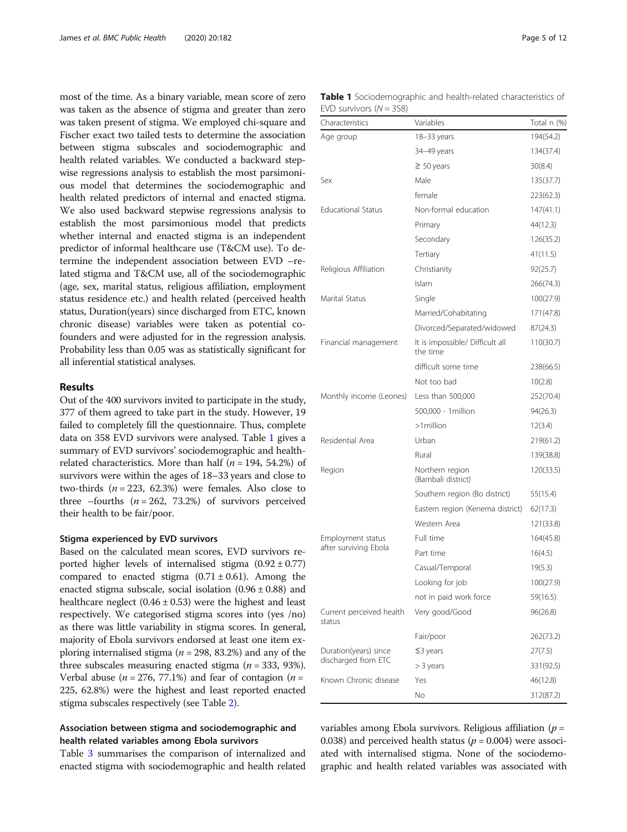most of the time. As a binary variable, mean score of zero was taken as the absence of stigma and greater than zero was taken present of stigma. We employed chi-square and Fischer exact two tailed tests to determine the association between stigma subscales and sociodemographic and health related variables. We conducted a backward stepwise regressions analysis to establish the most parsimonious model that determines the sociodemographic and health related predictors of internal and enacted stigma. We also used backward stepwise regressions analysis to establish the most parsimonious model that predicts whether internal and enacted stigma is an independent predictor of informal healthcare use (T&CM use). To determine the independent association between EVD –related stigma and T&CM use, all of the sociodemographic (age, sex, marital status, religious affiliation, employment status residence etc.) and health related (perceived health status, Duration(years) since discharged from ETC, known chronic disease) variables were taken as potential cofounders and were adjusted for in the regression analysis. Probability less than 0.05 was as statistically significant for all inferential statistical analyses.

## Results

Out of the 400 survivors invited to participate in the study, 377 of them agreed to take part in the study. However, 19 failed to completely fill the questionnaire. Thus, complete data on 358 EVD survivors were analysed. Table 1 gives a summary of EVD survivors' sociodemographic and healthrelated characteristics. More than half ( $n = 194, 54.2\%$ ) of survivors were within the ages of 18–33 years and close to two-thirds  $(n = 223, 62.3%)$  were females. Also close to three –fourths  $(n = 262, 73.2%)$  of survivors perceived their health to be fair/poor.

## Stigma experienced by EVD survivors

Based on the calculated mean scores, EVD survivors reported higher levels of internalised stigma  $(0.92 \pm 0.77)$ compared to enacted stigma  $(0.71 \pm 0.61)$ . Among the enacted stigma subscale, social isolation  $(0.96 \pm 0.88)$  and healthcare neglect  $(0.46 \pm 0.53)$  were the highest and least respectively. We categorised stigma scores into (yes /no) as there was little variability in stigma scores. In general, majority of Ebola survivors endorsed at least one item exploring internalised stigma ( $n = 298$ , 83.2%) and any of the three subscales measuring enacted stigma ( $n = 333, 93\%$ ). Verbal abuse ( $n = 276$ , 77.1%) and fear of contagion ( $n =$ 225, 62.8%) were the highest and least reported enacted stigma subscales respectively (see Table [2](#page-5-0)).

## Association between stigma and sociodemographic and health related variables among Ebola survivors

Table [3](#page-6-0) summarises the comparison of internalized and enacted stigma with sociodemographic and health related

| Characteristics                    | Variables                                   | Total n (%) |
|------------------------------------|---------------------------------------------|-------------|
| Age group                          | 18-33 years                                 | 194(54.2)   |
|                                    | 34-49 years                                 | 134(37.4)   |
|                                    | $\geq 50$ years                             | 30(8.4)     |
| Sex                                | Male                                        | 135(37.7)   |
|                                    | female                                      | 223(62.3)   |
| <b>Educational Status</b>          | Non-formal education                        | 147(41.1)   |
|                                    | Primary                                     | 44(12.3)    |
|                                    | Secondary                                   | 126(35.2)   |
|                                    | Tertiary                                    | 41(11.5)    |
| Religious Affiliation              | Christianity                                | 92(25.7)    |
|                                    | Islam                                       | 266(74.3)   |
| Marital Status                     | Single                                      | 100(27.9)   |
|                                    | Married/Cohabitating                        | 171(47.8)   |
|                                    | Divorced/Separated/widowed                  | 87(24.3)    |
| Financial management               | It is impossible/ Difficult all<br>the time | 110(30.7)   |
|                                    | difficult some time                         | 238(66.5)   |
|                                    | Not too bad                                 | 10(2.8)     |
| Monthly income (Leones)            | Less than 500,000                           | 252(70.4)   |
|                                    | 500,000 - 1 million                         | 94(26.3)    |
|                                    | $>1$ million                                | 12(3.4)     |
| Residential Area                   | Urban                                       | 219(61.2)   |
|                                    | Rural                                       | 139(38.8)   |
| Region                             | Northern region<br>(Bambali district)       | 120(33.5)   |
|                                    | Southern region (Bo district)               | 55(15.4)    |
|                                    | Eastern region (Kenema district)            | 62(17.3)    |
|                                    | Western Area                                | 121(33.8)   |
| Employment status                  | Full time                                   | 164(45.8)   |
| after surviving Ebola              | Part time                                   | 16(4.5)     |
|                                    | Casual/Temporal                             | 19(5.3)     |
|                                    | Looking for job                             | 100(27.9)   |
|                                    | not in paid work force                      | 59(16.5)    |
| Current perceived health<br>status | Very good/Good                              | 96(26.8)    |
|                                    | Fair/poor                                   | 262(73.2)   |
| Duration(years) since              | $\leq$ 3 years                              | 27(7.5)     |
| discharged from ETC                | > 3 years                                   | 331(92.5)   |
| Known Chronic disease              | Yes                                         | 46(12.8)    |
|                                    | No.                                         | 312(87.2)   |

variables among Ebola survivors. Religious affiliation ( $p =$ 0.038) and perceived health status ( $p = 0.004$ ) were associated with internalised stigma. None of the sociodemographic and health related variables was associated with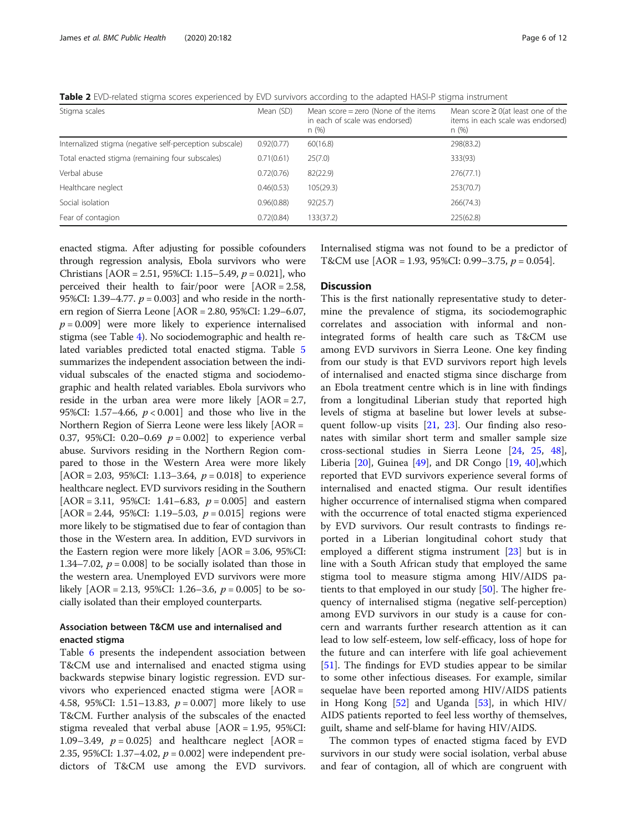<span id="page-5-0"></span>Table 2 EVD-related stigma scores experienced by EVD survivors according to the adapted HASI-P stigma instrument

| Stigma scales                                           | Mean (SD)  | Mean score $=$ zero (None of the items<br>in each of scale was endorsed)<br>n(%) | Mean score $\geq$ 0(at least one of the<br>items in each scale was endorsed)<br>n (%) |
|---------------------------------------------------------|------------|----------------------------------------------------------------------------------|---------------------------------------------------------------------------------------|
| Internalized stigma (negative self-perception subscale) | 0.92(0.77) | 60(16.8)                                                                         | 298(83.2)                                                                             |
| Total enacted stigma (remaining four subscales)         | 0.71(0.61) | 25(7.0)                                                                          | 333(93)                                                                               |
| Verbal abuse                                            | 0.72(0.76) | 82(22.9)                                                                         | 276(77.1)                                                                             |
| Healthcare neglect                                      | 0.46(0.53) | 105(29.3)                                                                        | 253(70.7)                                                                             |
| Social isolation                                        | 0.96(0.88) | 92(25.7)                                                                         | 266(74.3)                                                                             |
| Fear of contagion                                       | 0.72(0.84) | 133(37.2)                                                                        | 225(62.8)                                                                             |

enacted stigma. After adjusting for possible cofounders through regression analysis, Ebola survivors who were Christians  $[AOR = 2.51, 95\%$ CI: 1.15–5.49,  $p = 0.021$ ], who perceived their health to fair/poor were [AOR = 2.58, 95%CI: 1.39–4.77.  $p = 0.003$  and who reside in the northern region of Sierra Leone [AOR = 2.80, 95%CI: 1.29–6.07,  $p = 0.009$ ] were more likely to experience internalised stigma (see Table [4\)](#page-7-0). No sociodemographic and health related variables predicted total enacted stigma. Table [5](#page-7-0) summarizes the independent association between the individual subscales of the enacted stigma and sociodemographic and health related variables. Ebola survivors who reside in the urban area were more likely [AOR = 2.7, 95%CI: 1.57–4.66,  $p < 0.001$ ] and those who live in the Northern Region of Sierra Leone were less likely [AOR = 0.37, 95%CI: 0.20–0.69  $p = 0.002$  to experience verbal abuse. Survivors residing in the Northern Region compared to those in the Western Area were more likely [AOR = 2.03, 95%CI: 1.13–3.64,  $p = 0.018$ ] to experience healthcare neglect. EVD survivors residing in the Southern  $[AOR = 3.11, 95\%CI: 1.41-6.83, p = 0.005]$  and eastern  $[AOR = 2.44, 95\%CI: 1.19-5.03, p = 0.015]$  regions were more likely to be stigmatised due to fear of contagion than those in the Western area. In addition, EVD survivors in the Eastern region were more likely [AOR = 3.06, 95%CI: 1.34–7.02,  $p = 0.008$ ] to be socially isolated than those in the western area. Unemployed EVD survivors were more likely  $[AOR = 2.13, 95\%CI: 1.26-3.6, p = 0.005]$  to be socially isolated than their employed counterparts.

## Association between T&CM use and internalised and enacted stigma

Table [6](#page-8-0) presents the independent association between T&CM use and internalised and enacted stigma using backwards stepwise binary logistic regression. EVD survivors who experienced enacted stigma were [AOR = 4.58, 95%CI: 1.51–13.83,  $p = 0.007$ ] more likely to use T&CM. Further analysis of the subscales of the enacted stigma revealed that verbal abuse  $[AOR = 1.95, 95\%CI:$ 1.09–3.49,  $p = 0.025$ } and healthcare neglect [AOR = 2.35, 95%CI: 1.37–4.02,  $p = 0.002$ ] were independent predictors of T&CM use among the EVD survivors.

Internalised stigma was not found to be a predictor of T&CM use  $[AOR = 1.93, 95\%CI: 0.99 - 3.75, p = 0.054]$ .

## **Discussion**

This is the first nationally representative study to determine the prevalence of stigma, its sociodemographic correlates and association with informal and nonintegrated forms of health care such as T&CM use among EVD survivors in Sierra Leone. One key finding from our study is that EVD survivors report high levels of internalised and enacted stigma since discharge from an Ebola treatment centre which is in line with findings from a longitudinal Liberian study that reported high levels of stigma at baseline but lower levels at subsequent follow-up visits [\[21](#page-10-0), [23](#page-10-0)]. Our finding also resonates with similar short term and smaller sample size cross-sectional studies in Sierra Leone [\[24](#page-10-0), [25,](#page-10-0) [48](#page-11-0)], Liberia  $[20]$  $[20]$ , Guinea  $[49]$  $[49]$ , and DR Congo  $[19, 40]$  $[19, 40]$  $[19, 40]$ , which reported that EVD survivors experience several forms of internalised and enacted stigma. Our result identifies higher occurrence of internalised stigma when compared with the occurrence of total enacted stigma experienced by EVD survivors. Our result contrasts to findings reported in a Liberian longitudinal cohort study that employed a different stigma instrument [[23\]](#page-10-0) but is in line with a South African study that employed the same stigma tool to measure stigma among HIV/AIDS patients to that employed in our study [\[50\]](#page-11-0). The higher frequency of internalised stigma (negative self-perception) among EVD survivors in our study is a cause for concern and warrants further research attention as it can lead to low self-esteem, low self-efficacy, loss of hope for the future and can interfere with life goal achievement [[51\]](#page-11-0). The findings for EVD studies appear to be similar to some other infectious diseases. For example, similar sequelae have been reported among HIV/AIDS patients in Hong Kong [\[52\]](#page-11-0) and Uganda [\[53](#page-11-0)], in which HIV/ AIDS patients reported to feel less worthy of themselves, guilt, shame and self-blame for having HIV/AIDS.

The common types of enacted stigma faced by EVD survivors in our study were social isolation, verbal abuse and fear of contagion, all of which are congruent with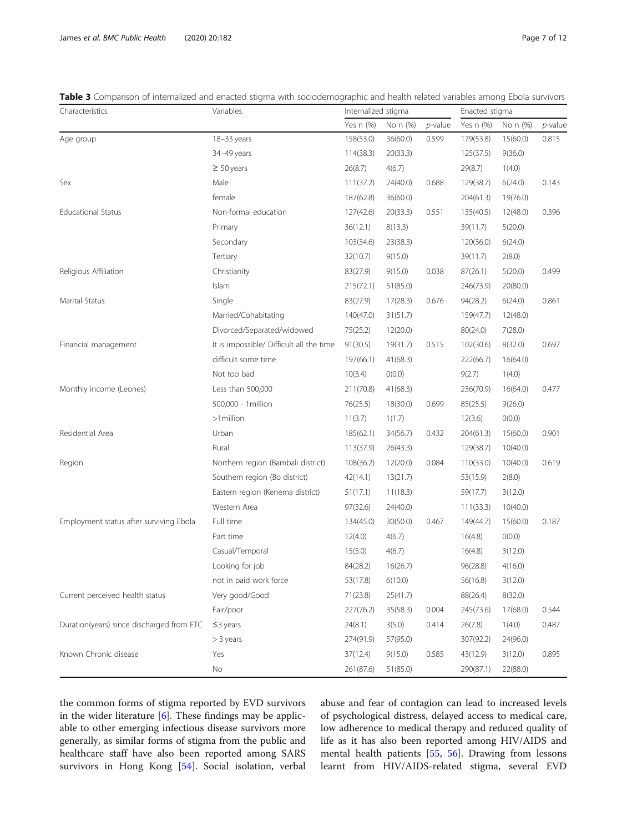<span id="page-6-0"></span>Table 3 Comparison of internalized and enacted stigma with sociodemographic and health related variables among Ebola survivors

| Characteristics                           | Variables                                | Internalized stigma |          |            | Enacted stigma |          |            |
|-------------------------------------------|------------------------------------------|---------------------|----------|------------|----------------|----------|------------|
|                                           |                                          | Yes n (%)           | No n (%) | $p$ -value | Yes n (%)      | No n (%) | $p$ -value |
| Age group                                 | 18-33 years                              | 158(53.0)           | 36(60.0) | 0.599      | 179(53.8)      | 15(60.0) | 0.815      |
|                                           | 34-49 years                              | 114(38.3)           | 20(33.3) |            | 125(37.5)      | 9(36.0)  |            |
|                                           | $\geq 50$ years                          | 26(8.7)             | 4(6.7)   |            | 29(8.7)        | 1(4.0)   |            |
| Sex                                       | Male                                     | 111(37.2)           | 24(40.0) | 0.688      | 129(38.7)      | 6(24.0)  | 0.143      |
|                                           | female                                   | 187(62.8)           | 36(60.0) |            | 204(61.3)      | 19(76.0) |            |
| <b>Educational Status</b>                 | Non-formal education                     | 127(42.6)           | 20(33.3) | 0.551      | 135(40.5)      | 12(48.0) | 0.396      |
|                                           | Primary                                  | 36(12.1)            | 8(13.3)  |            | 39(11.7)       | 5(20.0)  |            |
|                                           | Secondary                                | 103(34.6)           | 23(38.3) |            | 120(36.0)      | 6(24.0)  |            |
|                                           | Tertiary                                 | 32(10.7)            | 9(15.0)  |            | 39(11.7)       | 2(8.0)   |            |
| Religious Affiliation                     | Christianity                             | 83(27.9)            | 9(15.0)  | 0.038      | 87(26.1)       | 5(20.0)  | 0.499      |
|                                           | Islam                                    | 215(72.1)           | 51(85.0) |            | 246(73.9)      | 20(80.0) |            |
| Marital Status                            | Single                                   | 83(27.9)            | 17(28.3) | 0.676      | 94(28.2)       | 6(24.0)  | 0.861      |
|                                           | Married/Cohabitating                     | 140(47.0)           | 31(51.7) |            | 159(47.7)      | 12(48.0) |            |
|                                           | Divorced/Separated/widowed               | 75(25.2)            | 12(20.0) |            | 80(24.0)       | 7(28.0)  |            |
| Financial management                      | It is impossible/ Difficult all the time | 91(30.5)            | 19(31.7) | 0.515      | 102(30.6)      | 8(32.0)  | 0.697      |
|                                           | difficult some time                      | 197(66.1)           | 41(68.3) |            | 222(66.7)      | 16(64.0) |            |
|                                           | Not too bad                              | 10(3.4)             | O(0.0)   |            | 9(2.7)         | 1(4.0)   |            |
| Monthly income (Leones)                   | Less than 500,000                        | 211(70.8)           | 41(68.3) |            | 236(70.9)      | 16(64.0) | 0.477      |
|                                           | 500,000 - 1 million                      | 76(25.5)            | 18(30.0) | 0.699      | 85(25.5)       | 9(26.0)  |            |
|                                           | >1million                                | 11(3.7)             | 1(1.7)   |            | 12(3.6)        | O(0.0)   |            |
| Residential Area                          | Urban                                    | 185(62.1)           | 34(56.7) | 0.432      | 204(61.3)      | 15(60.0) | 0.901      |
|                                           | Rural                                    | 113(37.9)           | 26(43.3) |            | 129(38.7)      | 10(40.0) |            |
| Region                                    | Northern region (Bambali district)       | 108(36.2)           | 12(20.0) | 0.084      | 110(33.0)      | 10(40.0) | 0.619      |
|                                           | Southern region (Bo district)            | 42(14.1)            | 13(21.7) |            | 53(15.9)       | 2(8.0)   |            |
|                                           | Eastern region (Kenema district)         | 51(17.1)            | 11(18.3) |            | 59(17.7)       | 3(12.0)  |            |
|                                           | Western Area                             | 97(32.6)            | 24(40.0) |            | 111(33.3)      | 10(40.0) |            |
| Employment status after surviving Ebola   | Full time                                | 134(45.0)           | 30(50.0) | 0.467      | 149(44.7)      | 15(60.0) | 0.187      |
|                                           | Part time                                | 12(4.0)             | 4(6.7)   |            | 16(4.8)        | O(0.0)   |            |
|                                           | Casual/Temporal                          | 15(5.0)             | 4(6.7)   |            | 16(4.8)        | 3(12.0)  |            |
|                                           | Looking for job                          | 84(28.2)            | 16(26.7) |            | 96(28.8)       | 4(16.0)  |            |
|                                           | not in paid work force                   | 53(17.8)            | 6(10.0)  |            | 56(16.8)       | 3(12.0)  |            |
| Current perceived health status           | Very good/Good                           | 71(23.8)            | 25(41.7) |            | 88(26.4)       | 8(32.0)  |            |
|                                           | Fair/poor                                | 227(76.2)           | 35(58.3) | 0.004      | 245(73.6)      | 17(68.0) | 0.544      |
| Duration(years) since discharged from ETC | $\leq$ 3 years                           | 24(8.1)             | 3(5.0)   | 0.414      | 26(7.8)        | 1(4.0)   | 0.487      |
|                                           | $>$ 3 years                              | 274(91.9)           | 57(95.0) |            | 307(92.2)      | 24(96.0) |            |
| Known Chronic disease                     | Yes                                      | 37(12.4)            | 9(15.0)  | 0.585      | 43(12.9)       | 3(12.0)  | 0.895      |
|                                           | No                                       | 261(87.6)           | 51(85.0) |            | 290(87.1)      | 22(88.0) |            |

the common forms of stigma reported by EVD survivors in the wider literature [\[6](#page-10-0)]. These findings may be applicable to other emerging infectious disease survivors more generally, as similar forms of stigma from the public and healthcare staff have also been reported among SARS survivors in Hong Kong [[54](#page-11-0)]. Social isolation, verbal abuse and fear of contagion can lead to increased levels of psychological distress, delayed access to medical care, low adherence to medical therapy and reduced quality of life as it has also been reported among HIV/AIDS and mental health patients [\[55,](#page-11-0) [56\]](#page-11-0). Drawing from lessons learnt from HIV/AIDS-related stigma, several EVD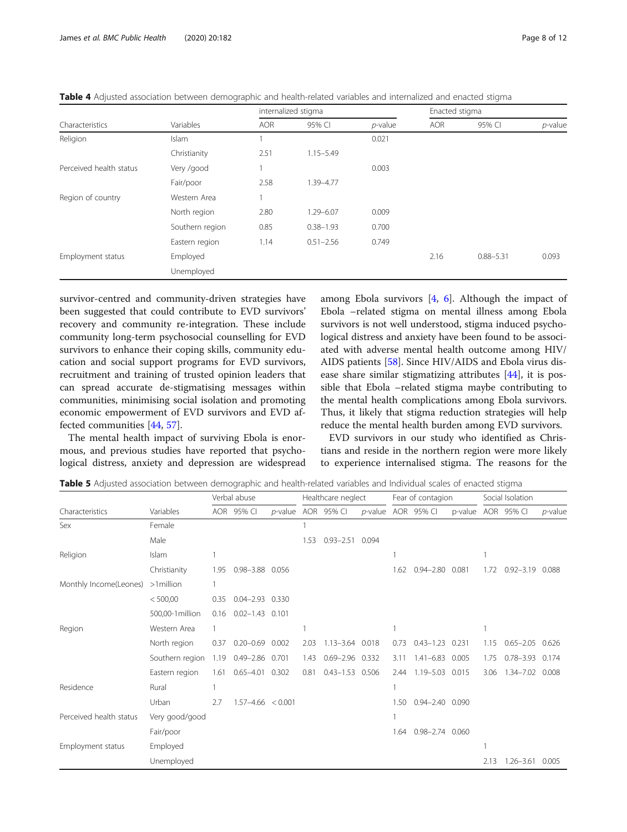|                         |                 |            | internalized stigma |            | Enacted stigma |               |            |  |
|-------------------------|-----------------|------------|---------------------|------------|----------------|---------------|------------|--|
| Characteristics         | Variables       | <b>AOR</b> | 95% CI              | $p$ -value | <b>AOR</b>     | 95% CI        | $p$ -value |  |
| Religion                | Islam           |            |                     | 0.021      |                |               |            |  |
|                         | Christianity    | 2.51       | $1.15 - 5.49$       |            |                |               |            |  |
| Perceived health status | Very /good      |            |                     | 0.003      |                | $0.88 - 5.31$ |            |  |
|                         | Fair/poor       | 2.58       | 1.39-4.77           |            |                |               |            |  |
| Region of country       | Western Area    |            |                     |            |                |               |            |  |
|                         | North region    | 2.80       | $1.29 - 6.07$       | 0.009      |                |               |            |  |
|                         | Southern region | 0.85       | $0.38 - 1.93$       | 0.700      |                |               |            |  |
|                         | Eastern region  | 1.14       | $0.51 - 2.56$       | 0.749      |                |               |            |  |
| Employment status       | Employed        |            |                     |            | 2.16           |               | 0.093      |  |
|                         | Unemployed      |            |                     |            |                |               |            |  |

<span id="page-7-0"></span>Table 4 Adjusted association between demographic and health-related variables and internalized and enacted stigma

survivor-centred and community-driven strategies have been suggested that could contribute to EVD survivors' recovery and community re-integration. These include community long-term psychosocial counselling for EVD survivors to enhance their coping skills, community education and social support programs for EVD survivors, recruitment and training of trusted opinion leaders that can spread accurate de-stigmatising messages within communities, minimising social isolation and promoting economic empowerment of EVD survivors and EVD affected communities [\[44](#page-11-0), [57\]](#page-11-0).

The mental health impact of surviving Ebola is enormous, and previous studies have reported that psychological distress, anxiety and depression are widespread among Ebola survivors  $[4, 6]$  $[4, 6]$  $[4, 6]$  $[4, 6]$ . Although the impact of Ebola –related stigma on mental illness among Ebola survivors is not well understood, stigma induced psychological distress and anxiety have been found to be associated with adverse mental health outcome among HIV/ AIDS patients [\[58\]](#page-11-0). Since HIV/AIDS and Ebola virus disease share similar stigmatizing attributes [[44\]](#page-11-0), it is possible that Ebola –related stigma maybe contributing to the mental health complications among Ebola survivors. Thus, it likely that stigma reduction strategies will help reduce the mental health burden among EVD survivors.

EVD survivors in our study who identified as Christians and reside in the northern region were more likely to experience internalised stigma. The reasons for the

Table 5 Adjusted association between demographic and health-related variables and Individual scales of enacted stigma

|                         |                  | Verbal abuse |                       |       | Healthcare neglect |                     |                    | Fear of contagion |                       |                    | Social Isolation |               |            |
|-------------------------|------------------|--------------|-----------------------|-------|--------------------|---------------------|--------------------|-------------------|-----------------------|--------------------|------------------|---------------|------------|
| Characteristics         | Variables        |              | AOR 95% CI            |       |                    | p-value AOR 95% CI  | p-value AOR 95% CI |                   |                       | p-value AOR 95% Cl |                  |               | $p$ -value |
| Sex                     | Female           |              |                       |       |                    |                     |                    |                   |                       |                    |                  |               |            |
|                         | Male             |              |                       |       | 1.53               | $0.93 - 2.51$       | 0.094              |                   |                       |                    |                  |               |            |
| Religion                | Islam            |              |                       |       |                    |                     |                    |                   |                       |                    |                  |               |            |
|                         | Christianity     | 1.95         | 0.98-3.88 0.056       |       |                    |                     |                    | 1.62              | $0.94 - 2.80$         | 0.081              | 1.72             | $0.92 - 3.19$ | 0.088      |
| Monthly Income(Leones)  | $>1$ million     |              |                       |       |                    |                     |                    |                   |                       |                    |                  |               |            |
|                         | < 500,00         | 0.35         | $0.04 - 2.93$ 0.330   |       |                    |                     |                    |                   |                       |                    |                  |               |            |
|                         | 500,00-1 million | 0.16         | $0.02 - 1.43$ 0.101   |       |                    |                     |                    |                   |                       |                    |                  |               |            |
| Region                  | Western Area     |              |                       |       |                    |                     |                    |                   |                       |                    |                  |               |            |
|                         | North region     | 0.37         | $0.20 - 0.69$         | 0.002 | 2.03               | $1.13 - 3.64$ 0.018 |                    | 0.73              | $0.43 - 1.23$         | 0.231              | 1.15             | $0.65 - 2.05$ | 0.626      |
|                         | Southern region  | 1.19         | 0.49-2.86 0.701       |       | 1.43               | $0.69 - 2.96$ 0.332 |                    | 3.11              | $1.41 - 6.83$         | 0.005              | 1.75             | $0.78 - 3.93$ | 0.174      |
|                         | Eastern region   | 1.61         | $0.65 - 4.01$         | 0.302 | 0.81               | $0.43 - 1.53$ 0.506 |                    | 2.44              | $1.19 - 5.03$         | 0.015              | 3.06             | $1.34 - 7.02$ | 0.008      |
| Residence               | Rural            |              |                       |       |                    |                     |                    |                   |                       |                    |                  |               |            |
|                         | Urban            | 2.7          | $1.57 - 4.66 < 0.001$ |       |                    |                     |                    | 1.50              | $0.94 - 2.40$ 0.090   |                    |                  |               |            |
| Perceived health status | Very good/good   |              |                       |       |                    |                     |                    |                   |                       |                    |                  |               |            |
|                         | Fair/poor        |              |                       |       |                    |                     |                    | 1.64              | $0.98 - 2.74$ $0.060$ |                    |                  |               |            |
| Employment status       | Employed         |              |                       |       |                    |                     |                    |                   |                       |                    |                  |               |            |
|                         | Unemployed       |              |                       |       |                    |                     |                    |                   |                       |                    | 2.13             | $1.26 - 3.61$ | 0.005      |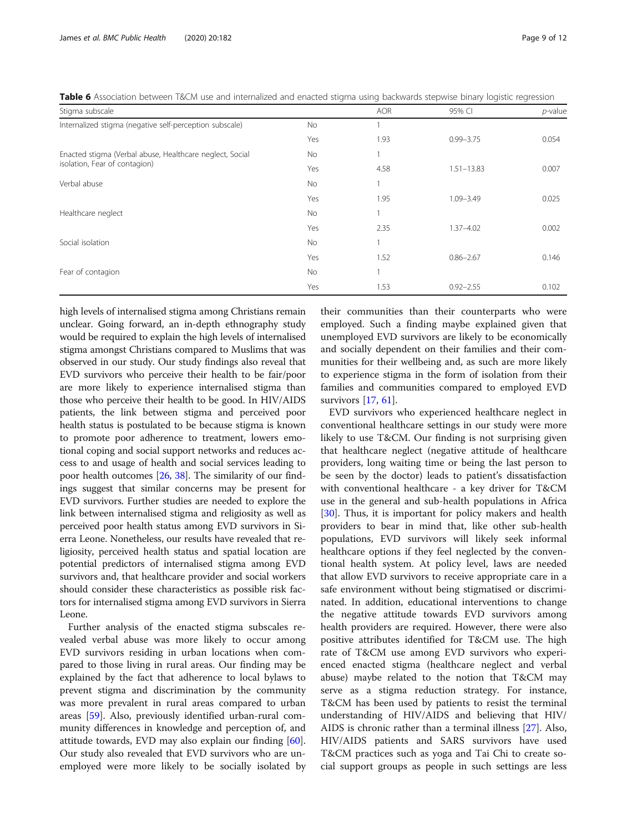<span id="page-8-0"></span>

| Table 6 Association between T&CM use and internalized and enacted stigma using backwards stepwise binary logistic regression |  |  |  |  |  |  |  |
|------------------------------------------------------------------------------------------------------------------------------|--|--|--|--|--|--|--|
|                                                                                                                              |  |  |  |  |  |  |  |

| Stigma subscale                                          |           | <b>AOR</b> | 95% CI         | $p$ -value |
|----------------------------------------------------------|-----------|------------|----------------|------------|
| Internalized stigma (negative self-perception subscale)  | No.       |            |                |            |
|                                                          | Yes       | 1.93       | $0.99 - 3.75$  | 0.054      |
| Enacted stigma (Verbal abuse, Healthcare neglect, Social | <b>No</b> |            |                |            |
| isolation, Fear of contagion)                            | Yes       | 4.58       | $1.51 - 13.83$ | 0.007      |
| Verbal abuse                                             | <b>No</b> |            |                |            |
|                                                          | Yes       | 1.95       | 1.09-3.49      | 0.025      |
| Healthcare neglect                                       | <b>No</b> |            |                |            |
|                                                          | Yes       | 2.35       | $1.37 - 4.02$  | 0.002      |
| Social isolation                                         | <b>No</b> |            |                |            |
|                                                          | Yes       | 1.52       | $0.86 - 2.67$  | 0.146      |
| Fear of contagion                                        | No.       |            |                |            |
|                                                          | Yes       | 1.53       | $0.92 - 2.55$  | 0.102      |

high levels of internalised stigma among Christians remain unclear. Going forward, an in-depth ethnography study would be required to explain the high levels of internalised stigma amongst Christians compared to Muslims that was observed in our study. Our study findings also reveal that EVD survivors who perceive their health to be fair/poor are more likely to experience internalised stigma than those who perceive their health to be good. In HIV/AIDS patients, the link between stigma and perceived poor health status is postulated to be because stigma is known to promote poor adherence to treatment, lowers emotional coping and social support networks and reduces access to and usage of health and social services leading to poor health outcomes [\[26](#page-10-0), [38\]](#page-10-0). The similarity of our findings suggest that similar concerns may be present for EVD survivors. Further studies are needed to explore the link between internalised stigma and religiosity as well as perceived poor health status among EVD survivors in Sierra Leone. Nonetheless, our results have revealed that religiosity, perceived health status and spatial location are potential predictors of internalised stigma among EVD survivors and, that healthcare provider and social workers should consider these characteristics as possible risk factors for internalised stigma among EVD survivors in Sierra Leone.

Further analysis of the enacted stigma subscales revealed verbal abuse was more likely to occur among EVD survivors residing in urban locations when compared to those living in rural areas. Our finding may be explained by the fact that adherence to local bylaws to prevent stigma and discrimination by the community was more prevalent in rural areas compared to urban areas [[59\]](#page-11-0). Also, previously identified urban-rural community differences in knowledge and perception of, and attitude towards, EVD may also explain our finding [\[60](#page-11-0)]. Our study also revealed that EVD survivors who are unemployed were more likely to be socially isolated by

their communities than their counterparts who were employed. Such a finding maybe explained given that unemployed EVD survivors are likely to be economically and socially dependent on their families and their communities for their wellbeing and, as such are more likely to experience stigma in the form of isolation from their families and communities compared to employed EVD survivors [[17,](#page-10-0) [61](#page-11-0)].

EVD survivors who experienced healthcare neglect in conventional healthcare settings in our study were more likely to use T&CM. Our finding is not surprising given that healthcare neglect (negative attitude of healthcare providers, long waiting time or being the last person to be seen by the doctor) leads to patient's dissatisfaction with conventional healthcare - a key driver for T&CM use in the general and sub-health populations in Africa [[30\]](#page-10-0). Thus, it is important for policy makers and health providers to bear in mind that, like other sub-health populations, EVD survivors will likely seek informal healthcare options if they feel neglected by the conventional health system. At policy level, laws are needed that allow EVD survivors to receive appropriate care in a safe environment without being stigmatised or discriminated. In addition, educational interventions to change the negative attitude towards EVD survivors among health providers are required. However, there were also positive attributes identified for T&CM use. The high rate of T&CM use among EVD survivors who experienced enacted stigma (healthcare neglect and verbal abuse) maybe related to the notion that T&CM may serve as a stigma reduction strategy. For instance, T&CM has been used by patients to resist the terminal understanding of HIV/AIDS and believing that HIV/ AIDS is chronic rather than a terminal illness [[27](#page-10-0)]. Also, HIV/AIDS patients and SARS survivors have used T&CM practices such as yoga and Tai Chi to create social support groups as people in such settings are less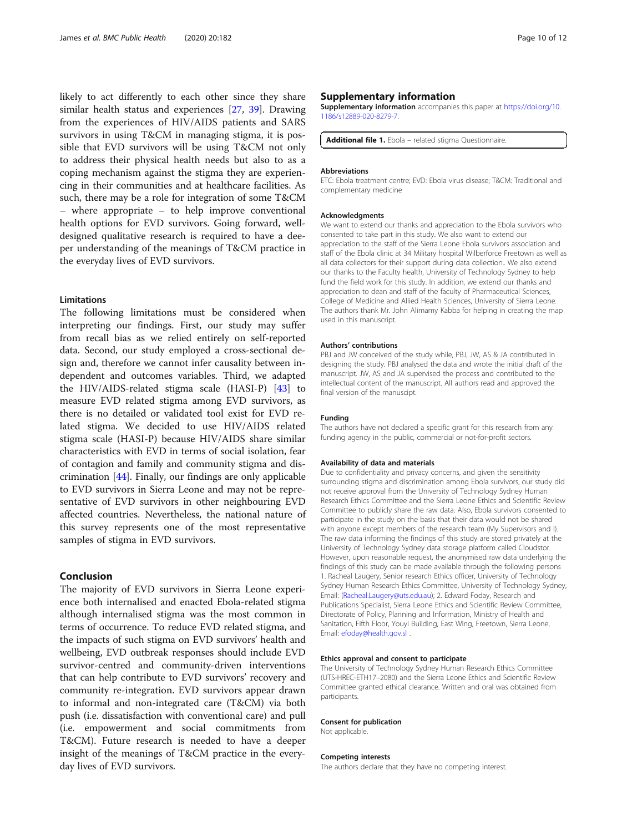<span id="page-9-0"></span>likely to act differently to each other since they share similar health status and experiences [\[27,](#page-10-0) [39](#page-10-0)]. Drawing from the experiences of HIV/AIDS patients and SARS survivors in using T&CM in managing stigma, it is possible that EVD survivors will be using T&CM not only to address their physical health needs but also to as a coping mechanism against the stigma they are experiencing in their communities and at healthcare facilities. As such, there may be a role for integration of some T&CM – where appropriate – to help improve conventional health options for EVD survivors. Going forward, welldesigned qualitative research is required to have a deeper understanding of the meanings of T&CM practice in the everyday lives of EVD survivors.

## Limitations

The following limitations must be considered when interpreting our findings. First, our study may suffer from recall bias as we relied entirely on self-reported data. Second, our study employed a cross-sectional design and, therefore we cannot infer causality between independent and outcomes variables. Third, we adapted the HIV/AIDS-related stigma scale (HASI-P) [\[43\]](#page-11-0) to measure EVD related stigma among EVD survivors, as there is no detailed or validated tool exist for EVD related stigma. We decided to use HIV/AIDS related stigma scale (HASI-P) because HIV/AIDS share similar characteristics with EVD in terms of social isolation, fear of contagion and family and community stigma and discrimination [\[44](#page-11-0)]. Finally, our findings are only applicable to EVD survivors in Sierra Leone and may not be representative of EVD survivors in other neighbouring EVD affected countries. Nevertheless, the national nature of this survey represents one of the most representative samples of stigma in EVD survivors.

## Conclusion

The majority of EVD survivors in Sierra Leone experience both internalised and enacted Ebola-related stigma although internalised stigma was the most common in terms of occurrence. To reduce EVD related stigma, and the impacts of such stigma on EVD survivors' health and wellbeing, EVD outbreak responses should include EVD survivor-centred and community-driven interventions that can help contribute to EVD survivors' recovery and community re-integration. EVD survivors appear drawn to informal and non-integrated care (T&CM) via both push (i.e. dissatisfaction with conventional care) and pull (i.e. empowerment and social commitments from T&CM). Future research is needed to have a deeper insight of the meanings of T&CM practice in the everyday lives of EVD survivors.

#### Supplementary information

Supplementary information accompanies this paper at [https://doi.org/10.](https://doi.org/10.1186/s12889-020-8279-7) [1186/s12889-020-8279-7.](https://doi.org/10.1186/s12889-020-8279-7)

Additional file 1. Ebola - related stigma Questionnaire.

#### Abbreviations

ETC: Ebola treatment centre; EVD: Ebola virus disease; T&CM: Traditional and complementary medicine

#### Acknowledgments

We want to extend our thanks and appreciation to the Ebola survivors who consented to take part in this study. We also want to extend our appreciation to the staff of the Sierra Leone Ebola survivors association and staff of the Ebola clinic at 34 Military hospital Wilberforce Freetown as well as all data collectors for their support during data collection.. We also extend our thanks to the Faculty health, University of Technology Sydney to help fund the field work for this study. In addition, we extend our thanks and appreciation to dean and staff of the faculty of Pharmaceutical Sciences, College of Medicine and Allied Health Sciences, University of Sierra Leone. The authors thank Mr. John Alimamy Kabba for helping in creating the map used in this manuscript.

#### Authors' contributions

PBJ and JW conceived of the study while, PBJ, JW, AS & JA contributed in designing the study. PBJ analysed the data and wrote the initial draft of the manuscript. JW, AS and JA supervised the process and contributed to the intellectual content of the manuscript. All authors read and approved the final version of the manuscipt.

#### Funding

The authors have not declared a specific grant for this research from any funding agency in the public, commercial or not-for-profit sectors.

#### Availability of data and materials

Due to confidentiality and privacy concerns, and given the sensitivity surrounding stigma and discrimination among Ebola survivors, our study did not receive approval from the University of Technology Sydney Human Research Ethics Committee and the Sierra Leone Ethics and Scientific Review Committee to publicly share the raw data. Also, Ebola survivors consented to participate in the study on the basis that their data would not be shared with anyone except members of the research team (My Supervisors and I). The raw data informing the findings of this study are stored privately at the University of Technology Sydney data storage platform called Cloudstor. However, upon reasonable request, the anonymised raw data underlying the findings of this study can be made available through the following persons 1. Racheal Laugery, Senior research Ethics officer, University of Technology Sydney Human Research Ethics Committee, University of Technology Sydney, Email: [\(Racheal.Laugery@uts.edu.au\)](mailto:Racheal.Laugery@uts.edu.au); 2. Edward Foday, Research and Publications Specialist, Sierra Leone Ethics and Scientific Review Committee, Directorate of Policy, Planning and Information, Ministry of Health and Sanitation, Fifth Floor, Youyi Building, East Wing, Freetown, Sierra Leone, Email: [efoday@health.gov.sl](mailto:efoday@health.gov.sl) .

#### Ethics approval and consent to participate

The University of Technology Sydney Human Research Ethics Committee (UTS-HREC-ETH17–2080) and the Sierra Leone Ethics and Scientific Review Committee granted ethical clearance. Written and oral was obtained from participants.

#### Consent for publication

Not applicable.

#### Competing interests

The authors declare that they have no competing interest.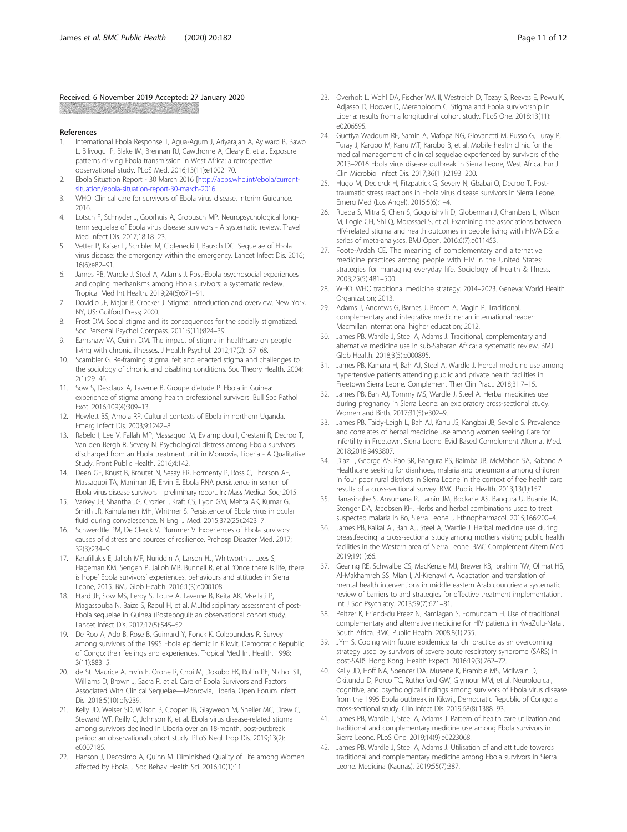### <span id="page-10-0"></span>Received: 6 November 2019 Accepted: 27 January 2020

#### References

- 1. International Ebola Response T, Agua-Agum J, Ariyarajah A, Aylward B, Bawo L, Bilivogui P, Blake IM, Brennan RJ, Cawthorne A, Cleary E, et al. Exposure patterns driving Ebola transmission in West Africa: a retrospective observational study. PLoS Med. 2016;13(11):e1002170.
- 2. Ebola Situation Report 30 March 2016 [\[http://apps.who.int/ebola/current](http://apps.who.int/ebola/current-situation/ebola-situation-report-30-march-2016)[situation/ebola-situation-report-30-march-2016](http://apps.who.int/ebola/current-situation/ebola-situation-report-30-march-2016) ].
- 3. WHO: Clinical care for survivors of Ebola virus disease. Interim Guidance. 2016.
- 4. Lotsch F, Schnyder J, Goorhuis A, Grobusch MP. Neuropsychological longterm sequelae of Ebola virus disease survivors - A systematic review. Travel Med Infect Dis. 2017;18:18–23.
- 5. Vetter P, Kaiser L, Schibler M, Ciglenecki I, Bausch DG. Sequelae of Ebola virus disease: the emergency within the emergency. Lancet Infect Dis. 2016; 16(6):e82–91.
- James PB, Wardle J, Steel A, Adams J. Post-Ebola psychosocial experiences and coping mechanisms among Ebola survivors: a systematic review. Tropical Med Int Health. 2019;24(6):671–91.
- 7. Dovidio JF, Major B, Crocker J. Stigma: introduction and overview. New York, NY, US: Guilford Press; 2000.
- 8. Frost DM. Social stigma and its consequences for the socially stigmatized. Soc Personal Psychol Compass. 2011;5(11):824–39.
- 9. Earnshaw VA, Quinn DM. The impact of stigma in healthcare on people living with chronic illnesses. J Health Psychol. 2012;17(2):157–68.
- 10. Scambler G. Re-framing stigma: felt and enacted stigma and challenges to the sociology of chronic and disabling conditions. Soc Theory Health. 2004; 2(1):29–46.
- 11. Sow S, Desclaux A, Taverne B, Groupe d'etude P. Ebola in Guinea: experience of stigma among health professional survivors. Bull Soc Pathol Exot. 2016;109(4):309–13.
- 12. Hewlett BS, Amola RP. Cultural contexts of Ebola in northern Uganda. Emerg Infect Dis. 2003;9:1242–8.
- 13. Rabelo I, Lee V, Fallah MP, Massaquoi M, Evlampidou I, Crestani R, Decroo T, Van den Bergh R, Severy N. Psychological distress among Ebola survivors discharged from an Ebola treatment unit in Monrovia, Liberia - A Qualitative Study. Front Public Health. 2016;4:142.
- 14. Deen GF, Knust B, Broutet N, Sesay FR, Formenty P, Ross C, Thorson AE, Massaquoi TA, Marrinan JE, Ervin E. Ebola RNA persistence in semen of Ebola virus disease survivors—preliminary report. In: Mass Medical Soc; 2015.
- 15. Varkey JB, Shantha JG, Crozier I, Kraft CS, Lyon GM, Mehta AK, Kumar G, Smith JR, Kainulainen MH, Whitmer S. Persistence of Ebola virus in ocular fluid during convalescence. N Engl J Med. 2015;372(25):2423–7.
- 16. Schwerdtle PM, De Clerck V, Plummer V. Experiences of Ebola survivors: causes of distress and sources of resilience. Prehosp Disaster Med. 2017; 32(3):234–9.
- 17. Karafillakis E, Jalloh MF, Nuriddin A, Larson HJ, Whitworth J, Lees S, Hageman KM, Sengeh P, Jalloh MB, Bunnell R, et al. 'Once there is life, there is hope' Ebola survivors' experiences, behaviours and attitudes in Sierra Leone, 2015. BMJ Glob Health. 2016;1(3):e000108.
- 18. Etard JF, Sow MS, Leroy S, Toure A, Taverne B, Keita AK, Msellati P, Magassouba N, Baize S, Raoul H, et al. Multidisciplinary assessment of post-Ebola sequelae in Guinea (Postebogui): an observational cohort study. Lancet Infect Dis. 2017;17(5):545–52.
- 19. De Roo A, Ado B, Rose B, Guimard Y, Fonck K, Colebunders R. Survey among survivors of the 1995 Ebola epidemic in Kikwit, Democratic Republic of Congo: their feelings and experiences. Tropical Med Int Health. 1998; 3(11):883–5.
- 20. de St. Maurice A, Ervin E, Orone R, Choi M, Dokubo EK, Rollin PE, Nichol ST, Williams D, Brown J, Sacra R, et al. Care of Ebola Survivors and Factors Associated With Clinical Sequelae—Monrovia, Liberia. Open Forum Infect Dis. 2018;5(10):ofy239.
- 21. Kelly JD, Weiser SD, Wilson B, Cooper JB, Glayweon M, Sneller MC, Drew C, Steward WT, Reilly C, Johnson K, et al. Ebola virus disease-related stigma among survivors declined in Liberia over an 18-month, post-outbreak period: an observational cohort study. PLoS Negl Trop Dis. 2019;13(2): e0007185.
- 22. Hanson J, Decosimo A, Quinn M. Diminished Quality of Life among Women affected by Ebola. J Soc Behav Health Sci. 2016;10(1):11.
- 23. Overholt L, Wohl DA, Fischer WA II, Westreich D, Tozay S, Reeves E, Pewu K, Adjasso D, Hoover D, Merenbloom C. Stigma and Ebola survivorship in Liberia: results from a longitudinal cohort study. PLoS One. 2018;13(11): e0206595.
- 24. Guetiya Wadoum RE, Samin A, Mafopa NG, Giovanetti M, Russo G, Turay P, Turay J, Kargbo M, Kanu MT, Kargbo B, et al. Mobile health clinic for the medical management of clinical sequelae experienced by survivors of the 2013–2016 Ebola virus disease outbreak in Sierra Leone, West Africa. Eur J Clin Microbiol Infect Dis. 2017;36(11):2193–200.
- 25. Hugo M, Declerck H, Fitzpatrick G, Severy N, Gbabai O, Decroo T. Posttraumatic stress reactions in Ebola virus disease survivors in Sierra Leone. Emerg Med (Los Angel). 2015;5(6):1–4.
- 26. Rueda S, Mitra S, Chen S, Gogolishvili D, Globerman J, Chambers L, Wilson M, Logie CH, Shi Q, Morassaei S, et al. Examining the associations between HIV-related stigma and health outcomes in people living with HIV/AIDS: a series of meta-analyses. BMJ Open. 2016;6(7):e011453.
- 27. Foote-Ardah CE. The meaning of complementary and alternative medicine practices among people with HIV in the United States: strategies for managing everyday life. Sociology of Health & Illness. 2003;25(5):481–500.
- 28. WHO. WHO traditional medicine strategy: 2014–2023. Geneva: World Health Organization; 2013.
- 29. Adams J, Andrews G, Barnes J, Broom A, Magin P. Traditional, complementary and integrative medicine: an international reader: Macmillan international higher education; 2012.
- 30. James PB, Wardle J, Steel A, Adams J. Traditional, complementary and alternative medicine use in sub-Saharan Africa: a systematic review. BMJ Glob Health. 2018;3(5):e000895.
- 31. James PB, Kamara H, Bah AJ, Steel A, Wardle J. Herbal medicine use among hypertensive patients attending public and private health facilities in Freetown Sierra Leone. Complement Ther Clin Pract. 2018;31:7–15.
- 32. James PB, Bah AJ, Tommy MS, Wardle J, Steel A. Herbal medicines use during pregnancy in Sierra Leone: an exploratory cross-sectional study. Women and Birth. 2017;31(5):e302–9.
- 33. James PB, Taidy-Leigh L, Bah AJ, Kanu JS, Kangbai JB, Sevalie S. Prevalence and correlates of herbal medicine use among women seeking Care for Infertility in Freetown, Sierra Leone. Evid Based Complement Alternat Med. 2018;2018:9493807.
- 34. Diaz T, George AS, Rao SR, Bangura PS, Baimba JB, McMahon SA, Kabano A. Healthcare seeking for diarrhoea, malaria and pneumonia among children in four poor rural districts in Sierra Leone in the context of free health care: results of a cross-sectional survey. BMC Public Health. 2013;13(1):157.
- Ranasinghe S, Ansumana R, Lamin JM, Bockarie AS, Bangura U, Buanie JA, Stenger DA, Jacobsen KH. Herbs and herbal combinations used to treat suspected malaria in Bo, Sierra Leone. J Ethnopharmacol. 2015;166:200–4.
- 36. James PB, Kaikai AI, Bah AJ, Steel A, Wardle J. Herbal medicine use during breastfeeding: a cross-sectional study among mothers visiting public health facilities in the Western area of Sierra Leone. BMC Complement Altern Med. 2019;19(1):66.
- 37. Gearing RE, Schwalbe CS, MacKenzie MJ, Brewer KB, Ibrahim RW, Olimat HS, Al-Makhamreh SS, Mian I, Al-Krenawi A. Adaptation and translation of mental health interventions in middle eastern Arab countries: a systematic review of barriers to and strategies for effective treatment implementation. Int J Soc Psychiatry. 2013;59(7):671–81.
- 38. Peltzer K, Friend-du Preez N, Ramlagan S, Fomundam H. Use of traditional complementary and alternative medicine for HIV patients in KwaZulu-Natal, South Africa. BMC Public Health. 2008;8(1):255.
- 39. JYm S. Coping with future epidemics: tai chi practice as an overcoming strategy used by survivors of severe acute respiratory syndrome (SARS) in post-SARS Hong Kong. Health Expect. 2016;19(3):762–72.
- Kelly JD, Hoff NA, Spencer DA, Musene K, Bramble MS, McIlwain D, Okitundu D, Porco TC, Rutherford GW, Glymour MM, et al. Neurological, cognitive, and psychological findings among survivors of Ebola virus disease from the 1995 Ebola outbreak in Kikwit, Democratic Republic of Congo: a cross-sectional study. Clin Infect Dis. 2019;68(8):1388–93.
- 41. James PB, Wardle J, Steel A, Adams J. Pattern of health care utilization and traditional and complementary medicine use among Ebola survivors in Sierra Leone. PLoS One. 2019;14(9):e0223068.
- 42. James PB, Wardle J, Steel A, Adams J. Utilisation of and attitude towards traditional and complementary medicine among Ebola survivors in Sierra Leone. Medicina (Kaunas). 2019;55(7):387.